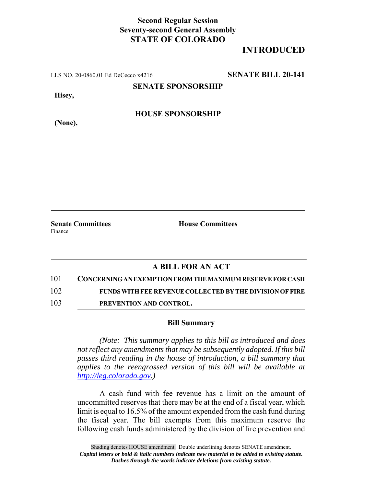## **Second Regular Session Seventy-second General Assembly STATE OF COLORADO**

## **INTRODUCED**

LLS NO. 20-0860.01 Ed DeCecco x4216 **SENATE BILL 20-141**

**SENATE SPONSORSHIP**

**Hisey,**

**HOUSE SPONSORSHIP**

**(None),**

**Senate Committees House Committees** Finance

## **A BILL FOR AN ACT**

101 **CONCERNING AN EXEMPTION FROM THE MAXIMUM RESERVE FOR CASH**

102 **FUNDS WITH FEE REVENUE COLLECTED BY THE DIVISION OF FIRE**

103 **PREVENTION AND CONTROL.**

## **Bill Summary**

*(Note: This summary applies to this bill as introduced and does not reflect any amendments that may be subsequently adopted. If this bill passes third reading in the house of introduction, a bill summary that applies to the reengrossed version of this bill will be available at http://leg.colorado.gov.)*

A cash fund with fee revenue has a limit on the amount of uncommitted reserves that there may be at the end of a fiscal year, which limit is equal to 16.5% of the amount expended from the cash fund during the fiscal year. The bill exempts from this maximum reserve the following cash funds administered by the division of fire prevention and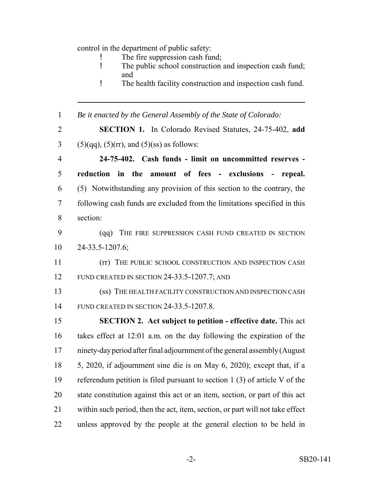control in the department of public safety:

- ! The fire suppression cash fund;<br>I The public school construction
- The public school construction and inspection cash fund; and
- ! The health facility construction and inspection cash fund.

*Be it enacted by the General Assembly of the State of Colorado:*

 **SECTION 1.** In Colorado Revised Statutes, 24-75-402, **add** 3 (5)(qq), (5)(rr), and (5)(ss) as follows:

 **24-75-402. Cash funds - limit on uncommitted reserves - reduction in the amount of fees - exclusions - repeal.** (5) Notwithstanding any provision of this section to the contrary, the following cash funds are excluded from the limitations specified in this section:

 (qq) THE FIRE SUPPRESSION CASH FUND CREATED IN SECTION 24-33.5-1207.6;

 (rr) THE PUBLIC SCHOOL CONSTRUCTION AND INSPECTION CASH 12 FUND CREATED IN SECTION 24-33.5-1207.7; AND

 (ss) THE HEALTH FACILITY CONSTRUCTION AND INSPECTION CASH FUND CREATED IN SECTION 24-33.5-1207.8.

 **SECTION 2. Act subject to petition - effective date.** This act takes effect at 12:01 a.m. on the day following the expiration of the ninety-day period after final adjournment of the general assembly (August 5, 2020, if adjournment sine die is on May 6, 2020); except that, if a referendum petition is filed pursuant to section 1 (3) of article V of the state constitution against this act or an item, section, or part of this act within such period, then the act, item, section, or part will not take effect unless approved by the people at the general election to be held in